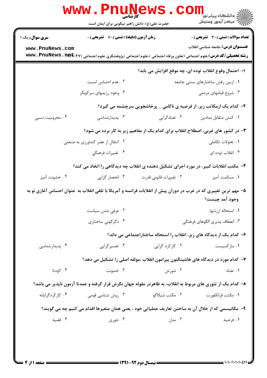| <b>سری سوال :</b> یک ۱ | <b>زمان آزمون (دقیقه) : تستی : 60 ٪ تشریحی : 0</b> |                                                                                                                 | تعداد سوالات : تستي : 30 - تشريحي : 0                  |
|------------------------|----------------------------------------------------|-----------------------------------------------------------------------------------------------------------------|--------------------------------------------------------|
| www.PnuNews.com        |                                                    |                                                                                                                 | <b>عنـــوان درس:</b> جامعه شناسی انقلاب                |
|                        |                                                    |                                                                                                                 |                                                        |
|                        |                                                    |                                                                                                                 | ا– احتمال وقوع انقلاب توده اي، چه موقع افزايش مي يابد؟ |
|                        | ٠٢ عدم احساس امنيت                                 |                                                                                                                 | ٠١ ازبين رفتن ساختارهاي سنتي جامعه                     |
|                        | ۰۴ وجود رژیمهای سرکوبگر                            |                                                                                                                 | ۰۳ شروع قیامهای مردمی                                  |
|                        |                                                    | <b>۲</b> - کدام یک ازمکاتب زیر، از فرضیه ی ناکامی _ پرخاشجویی سرچشمه می گیرد؟                                   |                                                        |
| ۰۴ محرومیت نسبی        | ۰۳ پدیدارشناسی                                     | ۰۲ تضادگرایی                                                                                                    | ٠١ كنش متقابل نمادين                                   |
|                        |                                                    | ۳- در کشور های غربی، اصطلاح انقلاب برای کدام یک از مفاهیم زیر به کار برده می شود؟                               |                                                        |
|                        | ۰۲ انتقال از عصر کشاورزی به صنعتی                  |                                                                                                                 | ۰۱ تحولات تکاملی                                       |
|                        | ۰۴ تغییرات فرهنگی                                  |                                                                                                                 | ۰۳ انقلاب توده ای                                      |
|                        |                                                    | ۴- مکتب انقلابات کبیر، در مورد اجزای تشکیل دهنده ی انقلاب چه دیدگاهی را اتخاذ می کند؟                           |                                                        |
| ۰۴ خشونت آميز          | ۰۳ انحصار گرایی                                    | ۰۲ تغییرات قانونی قدرت                                                                                          | ٠١ مسالمت آميز                                         |
|                        |                                                    | ۵– مهم ترین تغییری که در غرب در دوران پیش از انقلابات فرانسه و آمریکا با تلقی انقلاب به عنوان احساس آغازی نو به | وجود آمد چيست؟                                         |
|                        | ۰۲ عرفی شدن سیاست                                  |                                                                                                                 | ٠١. استحاله ارزشها                                     |
|                        | ۰۴ دگرگونی ساختاری                                 |                                                                                                                 | ۰۳ انعطاف پذیری الگوهای فرهنگی                         |
|                        |                                                    | ۶- کدام یک از دیدگاه های زیر، انقلاب را استحاله ساختاراجتماعی می داند؟                                          |                                                        |
| ۰۴ پدیدارشناسی         | ۰۳ تفسیر گرایی                                     | ۰۲ کارکرد گرایی                                                                                                 | ۰۱ مارکسیست                                            |
|                        |                                                    | ۷–  کدام مورد در دیدگاه های هانتینگتون پیرامون انقلاب ،مولفه اصلی را تشکیل می دهد؟                              |                                                        |
| ۰۴ کودتا               | ۰۳ خشونت                                           | ۰۲ شورش                                                                                                         | ۰۱ تضاد                                                |
|                        |                                                    | ۸– کدام یک از تئوری های مربوط به انقلاب، به ظاهردر مقوله جهان نگرش قرار گرفته و عمدتا آزمون ناپذیر می باشد؟     |                                                        |
| ۰۴ کارکردگرایانه       | ۰۳ روش شناسی قومی                                  | ۰۲ مکتب شیکاگو                                                                                                  | ٠١. مكتب فرانكفورت                                     |
|                        |                                                    | ۹–  مکانیسمی که از خلال آن به ساختن تعاریف عملیاتی خود ، یعنی همان متغیرها اقدام می کنیم چه می گویند؟           |                                                        |
| ۰۴ قضیه                | ۰۳ تئوري                                           | ۰۲ مدل                                                                                                          | ۰۱ فرضیه                                               |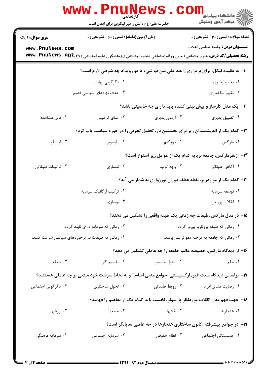|                                           | www . Phi<br>کار شناس <i>ی</i><br>حضرت علی(ع): دانش راهبر نیکویی برای ایمان است                    |                | رد دانشڪاه پيام نور ■<br>ار⊂ مرکز آزمون وسنجش                                               |  |
|-------------------------------------------|----------------------------------------------------------------------------------------------------|----------------|---------------------------------------------------------------------------------------------|--|
| <b>سری سوال : ۱ یک</b><br>www.PnuNews.com | <b>زمان آزمون (دقیقه) : تستی : 60 ٪ تشریحی : 0</b>                                                 |                | <b>تعداد سوالات : تستی : 30 - تشریحی : 0</b><br><b>عنـــوان درس:</b> جامعه شناسی انقلاب     |  |
|                                           |                                                                                                    |                | <b>۱۰</b> - به عقیده نیگل، برای برقراری رابطه علی بین دو شیء یا دو رویداد چه شرطی لازم است؟ |  |
|                                           | ۰۲ دگرگونی نهادی                                                                                   |                | ٠١ تغييرناپذيري                                                                             |  |
|                                           | ۰۴ حذف نهادهای سیاسی قدیم                                                                          |                | ۰۳ تغییر ساختاری                                                                            |  |
|                                           |                                                                                                    |                | 1۱- یک مدل کارساز و پیش بینی کننده باید دارای چه خاصیتی باشد؟                               |  |
| ۰۴ قابل مشاهده                            | ۰۳ غنای ترکیبی                                                                                     | ۰۲ آزمون پذیری | ٠١. تطبيق پذيري                                                                             |  |
|                                           | ۱۲– کدام یک از اندیشمندان زیر برای نخستین بار، تحلیل تجربی را در حوزه سیاست باب کرد؟               |                |                                                                                             |  |
| ۰۴ ارسطو                                  | ۰۳ پارسونز                                                                                         | ۰۲ دورکیم      | ۰۱ مارکس                                                                                    |  |
|                                           |                                                                                                    |                | ۱۳– ازنظرمارکس، جامعه برپایه کدام یک از عوامل زیر استوار است؟                               |  |
| ۰۴ ترتيبات طبقاتي                         | ۰۳ نوسازی                                                                                          | ۰۲ وجه تولید   | ۰۱ آگاهی طبقاتی                                                                             |  |
|                                           |                                                                                                    |                | ۱۴- کدام یک از مواردزیر، نقطه عطف دوران بورژوازی به شمار می آید؟                            |  |
|                                           | ۰۲ ترکیب ارگانیک سرمایه                                                                            |                | ۰۱ توسعه سرمايه                                                                             |  |
|                                           | ۰۴ نوسازی                                                                                          |                | ۰۳ انقلاب پرولتاريا                                                                         |  |
|                                           |                                                                                                    |                | 1۵– در مدل مارکس ،طبقات چه زمانی یک طبقه واقعی را تشکیل می دهند؟                            |  |
|                                           | ۰۲ زمانی که سرمایه داری نابود گردد.                                                                |                | ٠١ زمانى كه طبقه پروتاريا پيروز گردد.                                                       |  |
|                                           | ۰۴ زمانی که طبقات در برخوردهای سیاسی شرکت کنند.                                                    |                | ۰۳ زمانی که جامعه به مرحله دموکراسی برسد.                                                   |  |
|                                           |                                                                                                    |                | ۱۶– از دیدگاه مارکس، خصیصه غالب جامعه را چه عاملی تشکیل می دهد؟                             |  |
| ۰۴ طبقه                                   | ۰۳ تقسیم کار                                                                                       | ۰۲ تحول مستمر  | ۰۱ نظم                                                                                      |  |
|                                           | ۱۷– براساس دیدگاه سنت غیرمارکسیستی ،جوامع مدنی اساسا" و به لحاظ سرشت خود مبتنی بر چه عاملی هستتند؟ |                |                                                                                             |  |
| ۰۴ دگرگونی اجتماعی                        | ۰۳ تحول ساختاری                                                                                    |                | ۰۱ رضایت مندی افراد مسلم ۲۰ روابط طبقاتی                                                    |  |
|                                           |                                                                                                    |                | ۱۸– جهت فهم مدل انقلاب موردنظر پارسونز، نخست باید کدام یک از مفاهیم را فهمید؟               |  |
| ۰۴ ارزشها                                 | ۰۳ جمعها                                                                                           | ۰۲ نقشها       | ۰۱ هنجارها                                                                                  |  |
|                                           |                                                                                                    |                | ۱۹- در جوامع پیشرفته ،کانون ساختاری هنجارها در چه عاملی نمایانگر است؟                       |  |
| ۰۴ سرمایه فرهنگی                          | ۰۳ سرمايه اجتماعي                                                                                  | ۰۲ نظام حقوقی  | ۰۱ همبستگی اجتماعی                                                                          |  |
|                                           |                                                                                                    |                |                                                                                             |  |
|                                           |                                                                                                    |                |                                                                                             |  |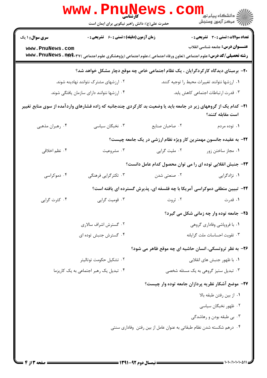|                                                                                         | WWW . PINUN<br><b>کارشناسی</b><br>حضرت علی(ع): دانش راهبر نیکویی برای ایمان است |                                                                                                                                    | الد دانشگاه پيام نور<br>ا∛هرکز آزمون وسنجش   |  |
|-----------------------------------------------------------------------------------------|---------------------------------------------------------------------------------|------------------------------------------------------------------------------------------------------------------------------------|----------------------------------------------|--|
| <b>سری سوال : ۱ یک</b>                                                                  | <b>زمان آزمون (دقیقه) : تستی : 60 گشریحی : 0</b>                                |                                                                                                                                    | <b>تعداد سوالات : تستی : 30 ٪ تشریحی : 0</b> |  |
| www.PnuNews.com                                                                         |                                                                                 | <b>رشته تحصیلی/کد درس:</b> علوم اجتماعی (تعاون ورفاه اجتماعی )،علوم اجتماعی (پژوهشگری علوم اجتماعی ) <b>www . PnuNews . 11 (#2</b> | <b>عنـــوان درس:</b> جامعه شناسی انقلاب      |  |
|                                                                                         |                                                                                 | +۲- برمبنای دیدگاه کارکردگرایان ، یک نظام اجتماعی خاص چه موقع دچار مشکل خواهد شد؟                                                  |                                              |  |
| ۰۲ ارزشهای مشترک نتوانند نهادینه شوند.<br>۰۱ ارزشها نتوانند تغييرات محيط را توجيه كنند. |                                                                                 |                                                                                                                                    |                                              |  |
| ۰۴ ارزشها نتوانند دارای سازمان یافتگی شوند.                                             |                                                                                 |                                                                                                                                    | ۰۳ قدرت ارتباطات اجتماعی کاهش یابد.          |  |
|                                                                                         |                                                                                 | <b>۲۱</b> – کدام یک از گروههای زیر در جامعه باید یا وضعیت بد کارکردی چندجانبه که زاده فشارهای واردآمده از سوی منابع تغییر          | است مقابله كنند؟                             |  |
| ۰۴ رهبران مذهبي                                                                         | ۰۳ نخبگان سیاسی                                                                 | ٠٢ صاحبان صنايع                                                                                                                    | ۰۱ توده مردم                                 |  |
|                                                                                         |                                                                                 | ۲۲- به عقیده جانسون مهمترین کار ویژه نظام ارزشی در یک جامعه چیست؟                                                                  |                                              |  |
| ۰۴ نظم اخلاقی                                                                           | ۰۳ مشروعيت                                                                      | ۰۲ ملیت گرایی                                                                                                                      | ٠١. مجاز ساختن زور                           |  |
|                                                                                         |                                                                                 | ۲۳– جنبش انقلابی توده ای را می توان محصول کدام عامل دانست؟                                                                         |                                              |  |
| ۰۴ دموکراسی                                                                             | ۰۳ تکثر گرایی فرهنگی                                                            | ۰۲ صنعتی شدن                                                                                                                       | ۰۱ نژادگرایی                                 |  |
|                                                                                         |                                                                                 | ۲۴- تبیین منطقی دموکراسی آمریکا با چه فلسفه ای، پذیرش گسترده ای یافته است؟                                                         |                                              |  |
| ۰۴ کثرت گرایی                                                                           | ۰۳ قومیت گرایی                                                                  | ۰۲ ثروت                                                                                                                            | ۰۱ قدرت                                      |  |
|                                                                                         |                                                                                 |                                                                                                                                    | ۲۵- جامعه توده وار چه زمانی شکل می گیرد؟     |  |
| ۰۲ گسترش اشراف سالاری                                                                   |                                                                                 | ۰۱ با فروپاشی وفاداری گروهی                                                                                                        |                                              |  |
| ۰۴ گسترش جنبش توده ای                                                                   |                                                                                 | ٠٣ تقويت احساسات ملت گرايانه                                                                                                       |                                              |  |
|                                                                                         |                                                                                 | ۲۶- به نظر تروتسکی، انسان حاشیه ای چه موقع ظاهر می شود؟                                                                            |                                              |  |
| ۰۲ تشکیل حکومت توتالیتر                                                                 |                                                                                 | ۰۱ با ظهور جنبش های انقلابی                                                                                                        |                                              |  |
| ۰۴ تبدیل یک رهبر اجتماعی به یک کاریزما                                                  |                                                                                 | ۰۳ تبدیل ستیز گروهی به یک مسئله شخصی                                                                                               |                                              |  |
|                                                                                         |                                                                                 | ۲۷– موضع آشکار نظریه پردازان جامعه توده وار چیست؟                                                                                  |                                              |  |
|                                                                                         |                                                                                 |                                                                                                                                    | ٠١ از بين رفتن طبقه بالا                     |  |
|                                                                                         |                                                                                 |                                                                                                                                    | ۰۲ ظهور نخبگان سیاسی                         |  |
|                                                                                         |                                                                                 |                                                                                                                                    | ۰۳ بی طبقه بودن و رهاشدگی                    |  |
|                                                                                         |                                                                                 | ۰۴ درهم شکسته شدن نظام طبقاتی به عنوان عامل از بین رفتن وفاداری سنتی                                                               |                                              |  |
|                                                                                         |                                                                                 |                                                                                                                                    |                                              |  |